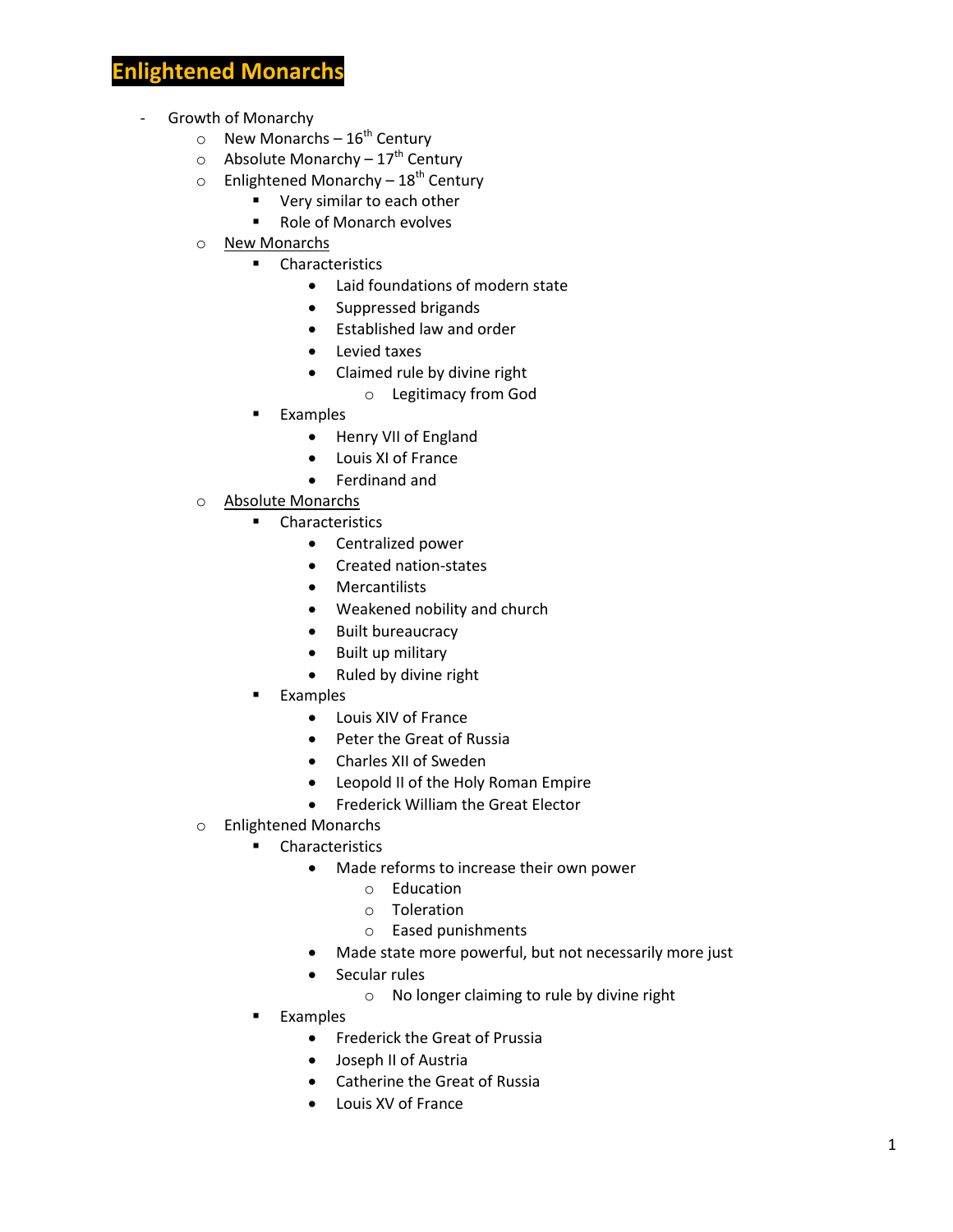# **Fightened Monarch**

- Growth of Monarchy
	- $\circ$  New Monarchs 16<sup>th</sup> Century
	- $\circ$  Absolute Monarchy 17<sup>th</sup> Century
	- o Enlightened Monarchy  $18^{th}$  Century
		- **very similar to each other**
		- Role of Monarch evolves
	- o New Monarchs
		- **•** Characteristics
			- Laid foundations of modern state
			- Suppressed brigands
			- Established law and order
			- Levied taxes
			- Claimed rule by divine right
				- o Legitimacy from God
		- Examples
			- Henry VII of England
			- Louis XI of France
			- Ferdinand and
	- o Absolute Monarchs
		- **Characteristics** 
			- Centralized power
			- Created nation-states
			- Mercantilists
			- Weakened nobility and church
			- Built bureaucracy
			- Built up military
			- Ruled by divine right
		- Examples
			- Louis XIV of France
			- Peter the Great of Russia
			- Charles XII of Sweden
			- Leopold II of the Holy Roman Empire
			- **•** Frederick William the Great Elector
	- o Enlightened Monarchs
		- **Characteristics** 
			- Made reforms to increase their own power
				- o Education
				- o Toleration
				- o Eased punishments
			- Made state more powerful, but not necessarily more just
			- Secular rules
				- o No longer claiming to rule by divine right
		- Examples
			- **•** Frederick the Great of Prussia
			- Joseph II of Austria
			- Catherine the Great of Russia
			- Louis XV of France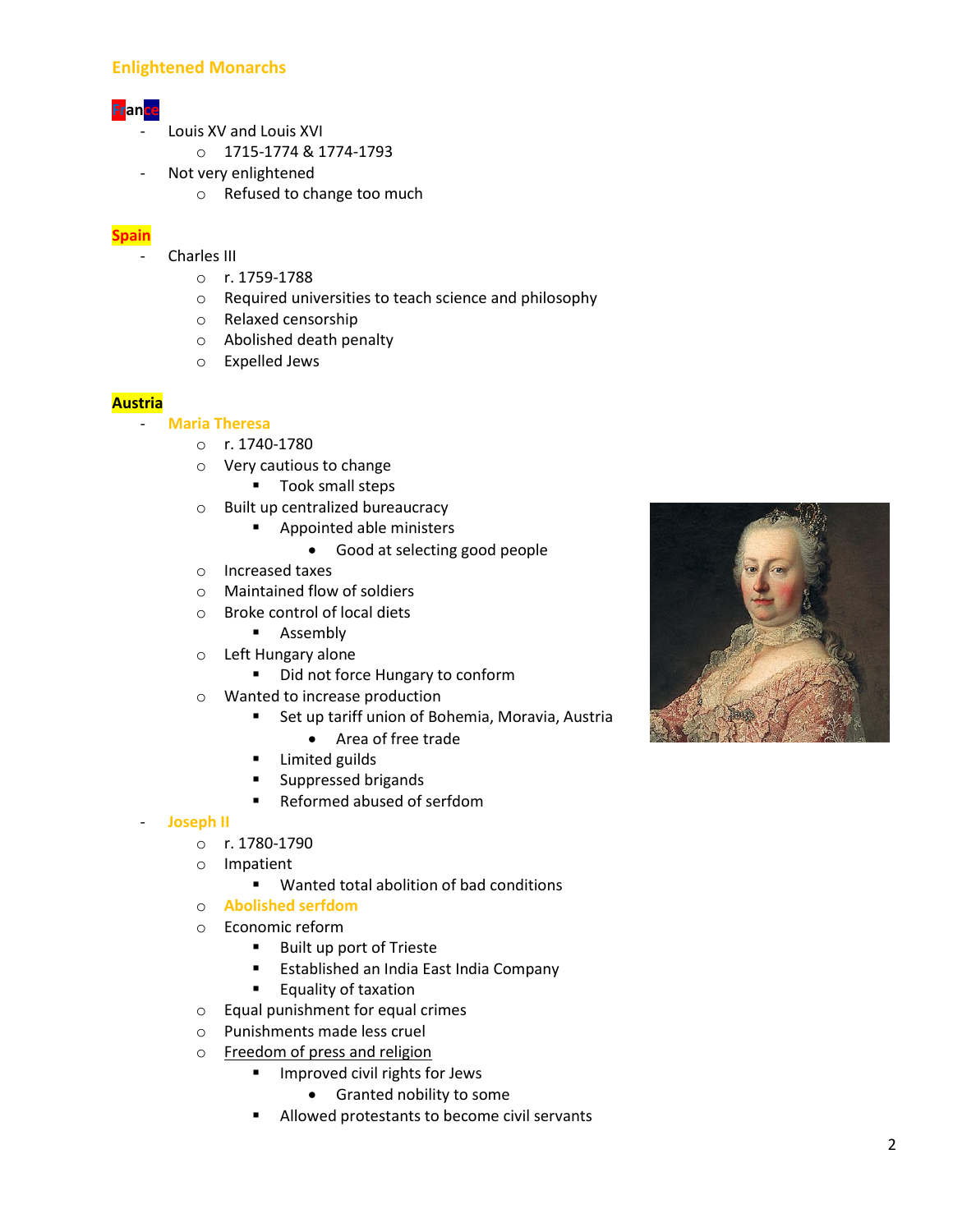# **Enlightened Monarchs**

# **France**

- Louis XV and Louis XVI
	- o 1715-1774 & 1774-1793
- Not very enlightened
	- o Refused to change too much

# **Spain**

- Charles III
	- o r. 1759-1788
	- o Required universities to teach science and philosophy
	- o Relaxed censorship
	- o Abolished death penalty
	- o Expelled Jews

#### **Austria**

- **Maria Theresa**
	- o r. 1740-1780
	- o Very cautious to change
		- **Took small steps**
	- o Built up centralized bureaucracy
		- **Appointed able ministers** 
			- Good at selecting good people
	- o Increased taxes
	- o Maintained flow of soldiers
	- o Broke control of local diets
		- **Assembly**
	- o Left Hungary alone
		- Did not force Hungary to conform
	- o Wanted to increase production
		- **EXTE:** Set up tariff union of Bohemia, Moravia, Austria
			- Area of free trade
		- **E** Limited guilds
		- **Suppressed brigands**
		- Reformed abused of serfdom
- **Joseph II**
	- o r. 1780-1790
	- o Impatient
		- Wanted total abolition of bad conditions
	- o **Abolished serfdom**
	- o Economic reform
		- Built up port of Trieste
		- **Established an India East India Company**
		- **Equality of taxation**
	- o Equal punishment for equal crimes
	- o Punishments made less cruel
	- o Freedom of press and religion
		- **IMPROVED CIVIL RIGHTS FOR JEWS** 
			- **•** Granted nobility to some
		- **Allowed protestants to become civil servants**

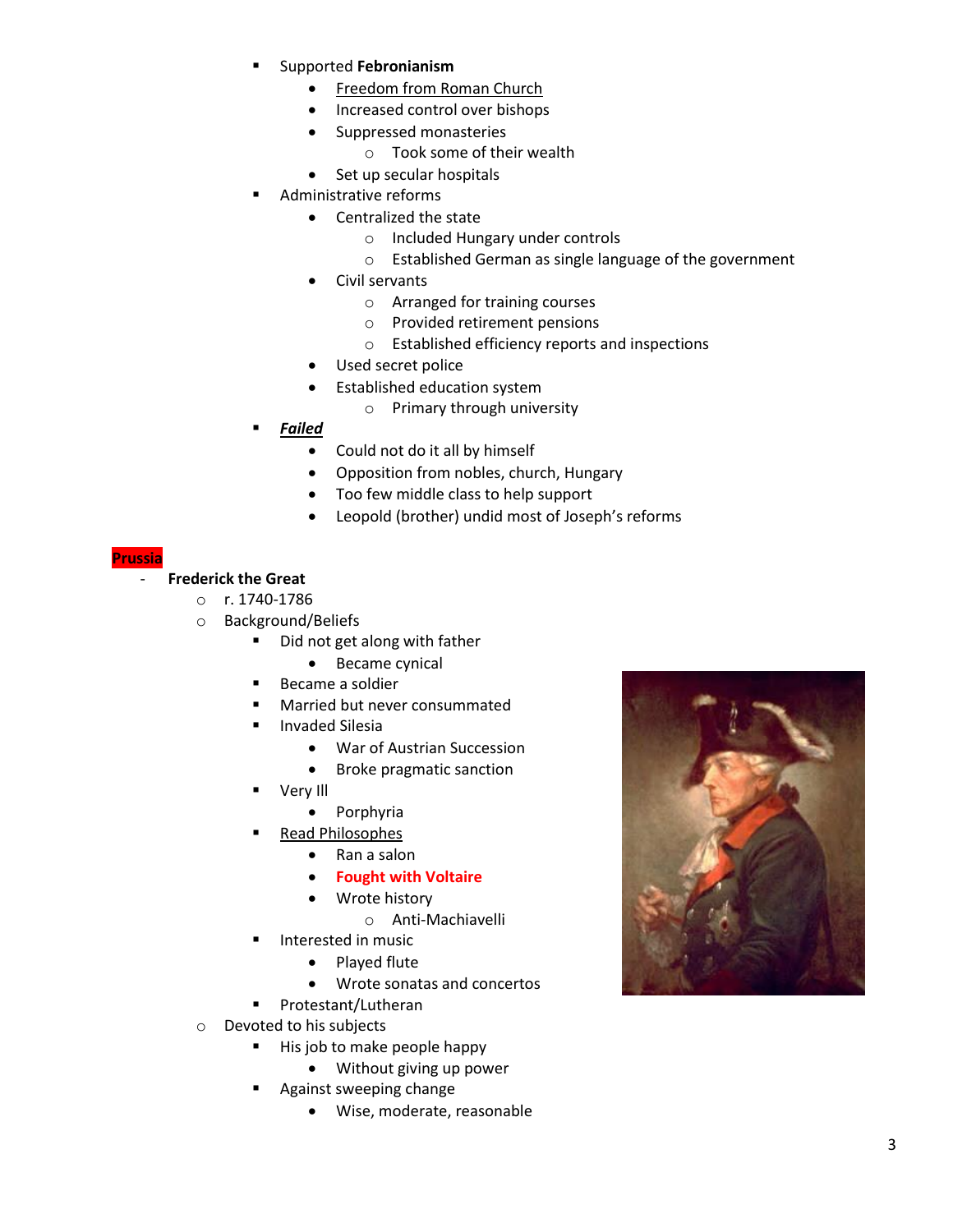- Supported **Febronianism**
	- Freedom from Roman Church
	- Increased control over bishops
	- Suppressed monasteries
		- o Took some of their wealth
	- Set up secular hospitals
- Administrative reforms
	- Centralized the state
		- o Included Hungary under controls
		- o Established German as single language of the government
	- Civil servants
		- o Arranged for training courses
		- o Provided retirement pensions
		- o Established efficiency reports and inspections
		- Used secret police
	- Established education system
		- o Primary through university
- *Failed*
	- Could not do it all by himself
	- Opposition from nobles, church, Hungary
	- Too few middle class to help support
	- Leopold (brother) undid most of Joseph's reforms

#### **Prussia**

# - **Frederick the Great**

- o r. 1740-1786
- o Background/Beliefs
	- Did not get along with father
		- Became cynical
	- **Became a soldier**
	- **Married but never consummated**
	- **Invaded Silesia** 
		- War of Austrian Succession
		- Broke pragmatic sanction
	- Very Ill
		- Porphyria
	- Read Philosophes
		- Ran a salon
		- **Fought with Voltaire**
		- Wrote history
			- o Anti-Machiavelli
	- Interested in music
		- Played flute
		- Wrote sonatas and concertos
	- Protestant/Lutheran
- o Devoted to his subjects
	- His job to make people happy
		- Without giving up power
	- Against sweeping change
		- Wise, moderate, reasonable

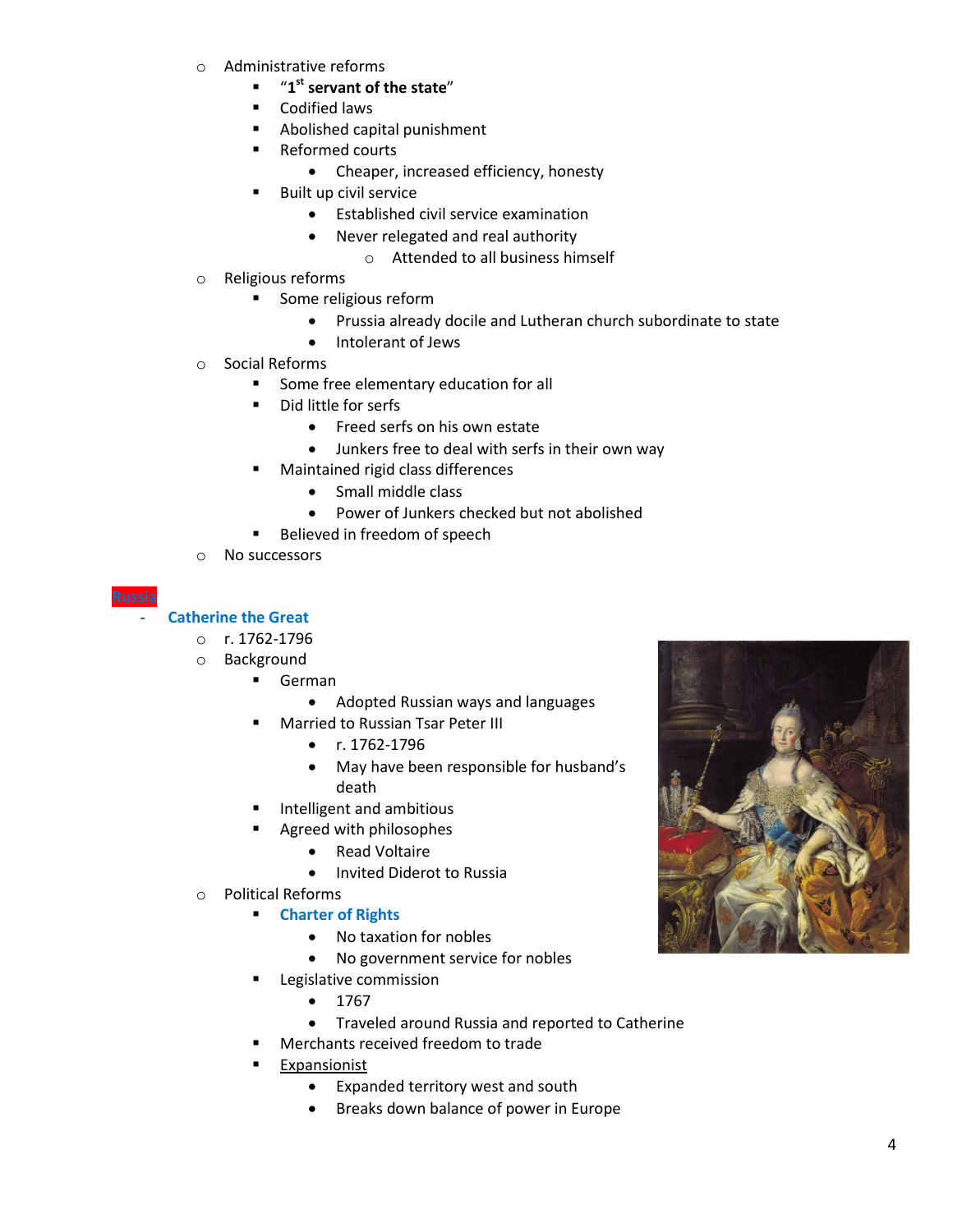- o Administrative reforms
	- "**1 st servant of the state**"
	- **•** Codified laws
	- Abolished capital punishment
	- Reformed courts
		- Cheaper, increased efficiency, honesty
	- Built up civil service
		- Established civil service examination
		- Never relegated and real authority
			- o Attended to all business himself
- o Religious reforms
	- **Some religious reform** 
		- Prussia already docile and Lutheran church subordinate to state
		- Intolerant of Jews
- o Social Reforms
	- Some free elementary education for all
	- **Did little for serfs** 
		- Freed serfs on his own estate
		- Junkers free to deal with serfs in their own way
		- Maintained rigid class differences
			- Small middle class
			- Power of Junkers checked but not abolished
		- Believed in freedom of speech
- o No successors

### - **Catherine the Great**

- o r. 1762-1796
- o Background
	- German
		- Adopted Russian ways and languages
	- Married to Russian Tsar Peter III
		- $\bullet$  r. 1762-1796
		- May have been responsible for husband's death
	- Intelligent and ambitious
	- Agreed with philosophes
		- Read Voltaire
		- **.** Invited Diderot to Russia
- o Political Reforms
	- **Charter of Rights**
		- No taxation for nobles
		- No government service for nobles
	- **Legislative commission** 
		- $1767$
		- Traveled around Russia and reported to Catherine
	- Merchants received freedom to trade
	- Expansionist
		- Expanded territory west and south
		- **•** Breaks down balance of power in Europe